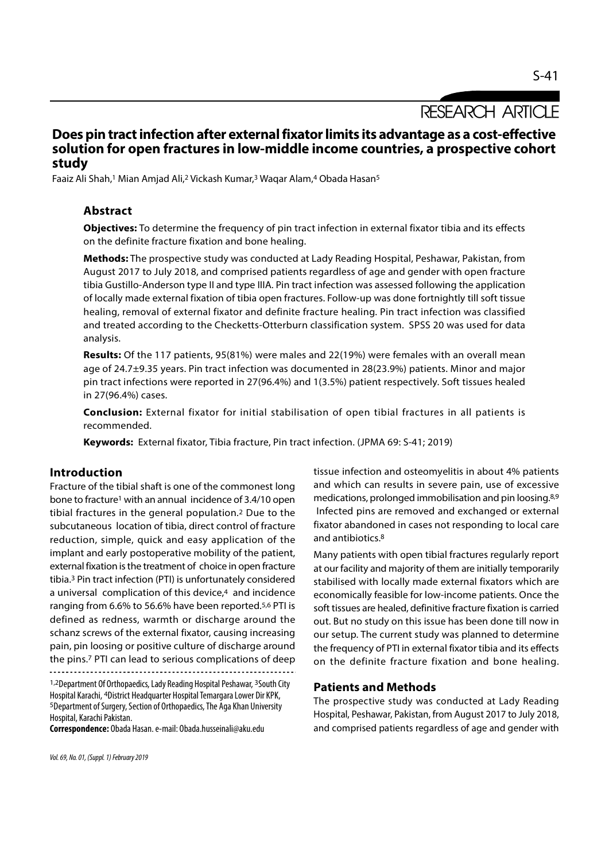# RESEARCH ARTICLE

# Does pin tract infection after external fixator limits its advantage as a cost-effective solution for open fractures in low-middle income countries, a prospective cohort study

Faaiz Ali Shah,<sup>1</sup> Mian Amjad Ali,<sup>2</sup> Vickash Kumar,<sup>3</sup> Waqar Alam,<sup>4</sup> Obada Hasan<sup>5</sup>

# Abstract

Objectives: To determine the frequency of pin tract infection in external fixator tibia and its effects on the definite fracture fixation and bone healing.

Methods: The prospective study was conducted at Lady Reading Hospital, Peshawar, Pakistan, from August 2017 to July 2018, and comprised patients regardless of age and gender with open fracture tibia Gustillo-Anderson type II and type IIIA. Pin tract infection was assessed following the application of locally made external fixation of tibia open fractures. Follow-up was done fortnightly till soft tissue healing, removal of external fixator and definite fracture healing. Pin tract infection was classified and treated according to the Checketts-Otterburn classification system. SPSS 20 was used for data analysis.

Results: Of the 117 patients, 95(81%) were males and 22(19%) were females with an overall mean age of 24.7±9.35 years. Pin tract infection was documented in 28(23.9%) patients. Minor and major pin tract infections were reported in 27(96.4%) and 1(3.5%) patient respectively. Soft tissues healed in 27(96.4%) cases.

Conclusion: External fixator for initial stabilisation of open tibial fractures in all patients is recommended.

Keywords: External fixator, Tibia fracture, Pin tract infection. (JPMA 69: S-41; 2019)

# Introduction

Fracture of the tibial shaft is one of the commonest long bone to fracture1 with an annual incidence of 3.4/10 open tibial fractures in the general population.2 Due to the subcutaneous location of tibia, direct control of fracture reduction, simple, quick and easy application of the implant and early postoperative mobility of the patient, external fixation is the treatment of choice in open fracture tibia.3 Pin tract infection (PTI) is unfortunately considered a universal complication of this device,<sup>4</sup> and incidence ranging from 6.6% to 56.6% have been reported.5,6 PTI is defined as redness, warmth or discharge around the schanz screws of the external fixator, causing increasing pain, pin loosing or positive culture of discharge around the pins.7 PTI can lead to serious complications of deep

1,2Department Of Orthopaedics, Lady Reading Hospital Peshawar, 3South City Hospital Karachi, 4District Headquarter Hospital Temargara Lower Dir KPK, <sup>5</sup>Department of Surgery, Section of Orthopaedics, The Aga Khan University Hospital, Karachi Pakistan.

Correspondence: Obada Hasan. e-mail: Obada.husseinali@aku.edu

tissue infection and osteomyelitis in about 4% patients and which can results in severe pain, use of excessive medications, prolonged immobilisation and pin loosing.8,9 Infected pins are removed and exchanged or external fixator abandoned in cases not responding to local care and antibiotics.8

Many patients with open tibial fractures regularly report at our facility and majority of them are initially temporarily stabilised with locally made external fixators which are economically feasible for low-income patients. Once the soft tissues are healed, definitive fracture fixation is carried out. But no study on this issue has been done till now in our setup. The current study was planned to determine the frequency of PTI in external fixator tibia and its effects on the definite fracture fixation and bone healing.

# Patients and Methods

The prospective study was conducted at Lady Reading Hospital, Peshawar, Pakistan, from August 2017 to July 2018, and comprised patients regardless of age and gender with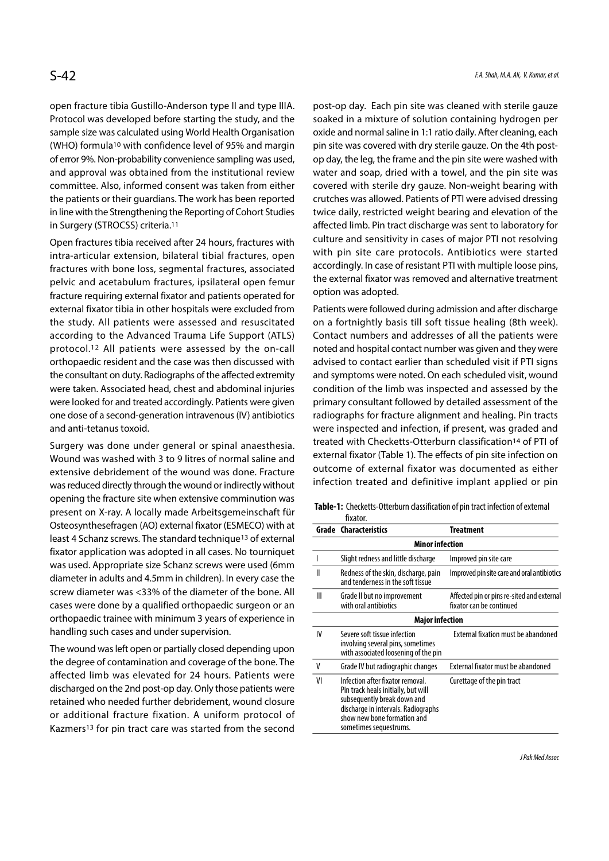open fracture tibia Gustillo-Anderson type II and type IIIA. Protocol was developed before starting the study, and the sample size was calculated using World Health Organisation (WHO) formula10 with confidence level of 95% and margin of error 9%. Non-probability convenience sampling was used, and approval was obtained from the institutional review committee. Also, informed consent was taken from either the patients or their guardians. The work has been reported in line with the Strengthening the Reporting of Cohort Studies in Surgery (STROCSS) criteria.11

Open fractures tibia received after 24 hours, fractures with intra-articular extension, bilateral tibial fractures, open fractures with bone loss, segmental fractures, associated pelvic and acetabulum fractures, ipsilateral open femur fracture requiring external fixator and patients operated for external fixator tibia in other hospitals were excluded from the study. All patients were assessed and resuscitated according to the Advanced Trauma Life Support (ATLS) protocol.12 All patients were assessed by the on-call orthopaedic resident and the case was then discussed with the consultant on duty. Radiographs of the affected extremity were taken. Associated head, chest and abdominal injuries were looked for and treated accordingly. Patients were given one dose of a second-generation intravenous (IV) antibiotics and anti-tetanus toxoid.

Surgery was done under general or spinal anaesthesia. Wound was washed with 3 to 9 litres of normal saline and extensive debridement of the wound was done. Fracture was reduced directly through the wound or indirectly without opening the fracture site when extensive comminution was present on X-ray. A locally made Arbeitsgemeinschaft für Osteosynthesefragen (AO) external fixator (ESMECO) with at least 4 Schanz screws. The standard technique13 of external fixator application was adopted in all cases. No tourniquet was used. Appropriate size Schanz screws were used (6mm diameter in adults and 4.5mm in children). In every case the screw diameter was <33% of the diameter of the bone. All cases were done by a qualified orthopaedic surgeon or an orthopaedic trainee with minimum 3 years of experience in handling such cases and under supervision.

The wound was left open or partially closed depending upon the degree of contamination and coverage of the bone. The affected limb was elevated for 24 hours. Patients were discharged on the 2nd post-op day. Only those patients were retained who needed further debridement, wound closure or additional fracture fixation. A uniform protocol of Kazmers13 for pin tract care was started from the second post-op day. Each pin site was cleaned with sterile gauze soaked in a mixture of solution containing hydrogen per oxide and normal saline in 1:1 ratio daily. After cleaning, each pin site was covered with dry sterile gauze. On the 4th postop day, the leg, the frame and the pin site were washed with water and soap, dried with a towel, and the pin site was covered with sterile dry gauze. Non-weight bearing with crutches was allowed. Patients of PTI were advised dressing twice daily, restricted weight bearing and elevation of the affected limb. Pin tract discharge was sent to laboratory for culture and sensitivity in cases of major PTI not resolving with pin site care protocols. Antibiotics were started accordingly. In case of resistant PTI with multiple loose pins, the external fixator was removed and alternative treatment option was adopted.

Patients were followed during admission and after discharge on a fortnightly basis till soft tissue healing (8th week). Contact numbers and addresses of all the patients were noted and hospital contact number was given and they were advised to contact earlier than scheduled visit if PTI signs and symptoms were noted. On each scheduled visit, wound condition of the limb was inspected and assessed by the primary consultant followed by detailed assessment of the radiographs for fracture alignment and healing. Pin tracts were inspected and infection, if present, was graded and treated with Checketts-Otterburn classification14 of PTI of external fixator (Table 1). The effects of pin site infection on outcome of external fixator was documented as either infection treated and definitive implant applied or pin

|                        | <b>Grade Characteristics</b>                                                                                                                                                                           | <b>Treatment</b>                                                       |  |  |  |
|------------------------|--------------------------------------------------------------------------------------------------------------------------------------------------------------------------------------------------------|------------------------------------------------------------------------|--|--|--|
| Minor infection        |                                                                                                                                                                                                        |                                                                        |  |  |  |
|                        | Slight redness and little discharge                                                                                                                                                                    | Improved pin site care                                                 |  |  |  |
| Ш                      | Redness of the skin, discharge, pain<br>and tenderness in the soft tissue                                                                                                                              | Improved pin site care and oral antibiotics                            |  |  |  |
| Ш                      | Grade II but no improvement<br>with oral antibiotics                                                                                                                                                   | Affected pin or pins re-sited and external<br>fixator can be continued |  |  |  |
| <b>Major infection</b> |                                                                                                                                                                                                        |                                                                        |  |  |  |
| IV                     | Severe soft tissue infection<br>involving several pins, sometimes<br>with associated loosening of the pin                                                                                              | External fixation must be abandoned                                    |  |  |  |
| ٧                      | Grade IV but radiographic changes                                                                                                                                                                      | External fixator must be abandoned                                     |  |  |  |
| VI                     | Infection after fixator removal.<br>Pin track heals initially, but will<br>subsequently break down and<br>discharge in intervals. Radiographs<br>show new bone formation and<br>sometimes sequestrums. | Curettage of the pin tract                                             |  |  |  |

Table-1: Checketts-Otterburn classification of pin tract infection of external fixator.

J Pak Med Assoc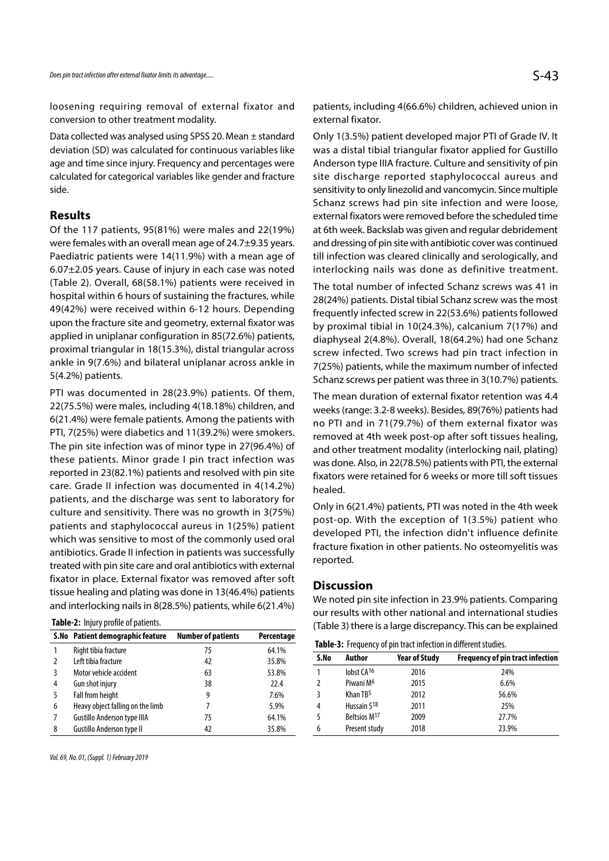loosening requiring removal of external fixator and conversion to other treatment modality.

Data collected was analysed using SPSS 20. Mean ± standard deviation (SD) was calculated for continuous variables like age and time since injury. Frequency and percentages were calculated for categorical variables like gender and fracture side.

# Results

Of the 117 patients, 95(81%) were males and 22(19%) were females with an overall mean age of 24.7±9.35 years. Paediatric patients were 14(11.9%) with a mean age of 6.07±2.05 years. Cause of injury in each case was noted (Table 2). Overall, 68(58.1%) patients were received in hospital within 6 hours of sustaining the fractures, while 49(42%) were received within 6-12 hours. Depending upon the fracture site and geometry, external fixator was applied in uniplanar configuration in 85(72.6%) patients, proximal triangular in 18(15.3%), distal triangular across ankle in 9(7.6%) and bilateral uniplanar across ankle in 5(4.2%) patients.

PTI was documented in 28(23.9%) patients. Of them, 22(75.5%) were males, including 4(18.18%) children, and 6(21.4%) were female patients. Among the patients with PTI, 7(25%) were diabetics and 11(39.2%) were smokers. The pin site infection was of minor type in 27(96.4%) of these patients. Minor grade I pin tract infection was reported in 23(82.1%) patients and resolved with pin site care. Grade II infection was documented in 4(14.2%) patients, and the discharge was sent to laboratory for culture and sensitivity. There was no growth in 3(75%) patients and staphylococcal aureus in 1(25%) patient which was sensitive to most of the commonly used oral antibiotics. Grade II infection in patients was successfully treated with pin site care and oral antibiotics with external fixator in place. External fixator was removed after soft tissue healing and plating was done in 13(46.4%) patients and interlocking nails in 8(28.5%) patients, while 6(21.4%)

|  |  |  | Table-2: Injury profile of patients. |
|--|--|--|--------------------------------------|
|--|--|--|--------------------------------------|

|   | S.No Patient demographic feature   | <b>Number of patients</b> | Percentage |
|---|------------------------------------|---------------------------|------------|
|   | Right tibia fracture               | 75                        | 64.1%      |
| 2 | Left tibia fracture                | 42                        | 35.8%      |
| 3 | Motor vehicle accident             | 63                        | 53.8%      |
| 4 | Gun shot injury                    | 38                        | 22.4       |
| 5 | Fall from height                   | 9                         | 7.6%       |
| 6 | Heavy object falling on the limb   |                           | 5.9%       |
|   | <b>Gustillo Anderson type IIIA</b> | 75                        | 64.1%      |
| 8 | <b>Gustillo Anderson type II</b>   | 42                        | 35.8%      |

Vol. 69, No. 01, (Suppl. 1) February 2019

patients, including 4(66.6%) children, achieved union in external fixator.

Only 1(3.5%) patient developed major PTI of Grade IV. It was a distal tibial triangular fixator applied for Gustillo Anderson type IIIA fracture. Culture and sensitivity of pin site discharge reported staphylococcal aureus and sensitivity to only linezolid and vancomycin. Since multiple Schanz screws had pin site infection and were loose, external fixators were removed before the scheduled time at 6th week. Backslab was given and regular debridement and dressing of pin site with antibiotic cover was continued till infection was cleared clinically and serologically, and interlocking nails was done as definitive treatment.

The total number of infected Schanz screws was 41 in 28(24%) patients. Distal tibial Schanz screw was the most frequently infected screw in 22(53.6%) patients followed by proximal tibial in 10(24.3%), calcanium 7(17%) and diaphyseal 2(4.8%). Overall, 18(64.2%) had one Schanz screw infected. Two screws had pin tract infection in 7(25%) patients, while the maximum number of infected Schanz screws per patient was three in 3(10.7%) patients.

The mean duration of external fixator retention was 4.4 weeks (range: 3.2-8 weeks). Besides, 89(76%) patients had no PTI and in 71(79.7%) of them external fixator was removed at 4th week post-op after soft tissues healing, and other treatment modality (interlocking nail, plating) was done. Also, in 22(78.5%) patients with PTI, the external fixators were retained for 6 weeks or more till soft tissues healed.

Only in 6(21.4%) patients, PTI was noted in the 4th week post-op. With the exception of 1(3.5%) patient who developed PTI, the infection didn't influence definite fracture fixation in other patients. No osteomyelitis was reported.

## **Discussion**

We noted pin site infection in 23.9% patients. Comparing our results with other national and international studies (Table 3) there is a large discrepancy. This can be explained

| Table-3: Frequency of pin tract infection in different studies. |                         |                      |                                         |  |  |
|-----------------------------------------------------------------|-------------------------|----------------------|-----------------------------------------|--|--|
| S.No                                                            | Author                  | <b>Year of Study</b> | <b>Frequency of pin tract infection</b> |  |  |
|                                                                 | lobst CA <sub>16</sub>  | 2016                 | 24%                                     |  |  |
| $\mathcal{L}$                                                   | Piwani M <sup>6</sup>   | 2015                 | 6.6%                                    |  |  |
| 3                                                               | Khan $TB5$              | 2012                 | 56.6%                                   |  |  |
| 4                                                               | Hussain S <sub>18</sub> | 2011                 | 25%                                     |  |  |
| 5                                                               | Beltsios M17            | 2009                 | 27.7%                                   |  |  |
| 6                                                               | Present study           | 2018                 | 23.9%                                   |  |  |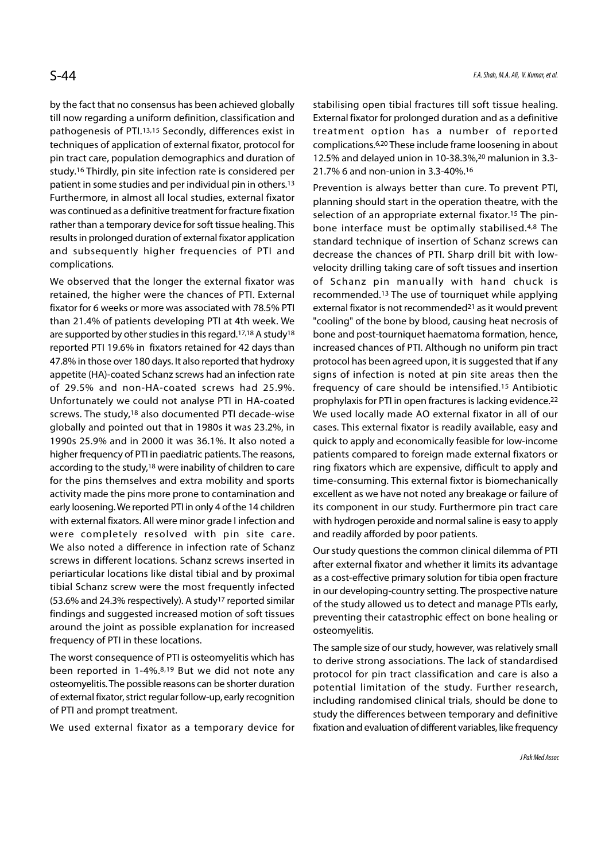by the fact that no consensus has been achieved globally till now regarding a uniform definition, classification and pathogenesis of PTI.13,15 Secondly, differences exist in techniques of application of external fixator, protocol for pin tract care, population demographics and duration of study.16 Thirdly, pin site infection rate is considered per patient in some studies and per individual pin in others.13 Furthermore, in almost all local studies, external fixator was continued as a definitive treatment for fracture fixation rather than a temporary device for soft tissue healing. This results in prolonged duration of external fixator application and subsequently higher frequencies of PTI and complications.

We observed that the longer the external fixator was retained, the higher were the chances of PTI. External fixator for 6 weeks or more was associated with 78.5% PTI than 21.4% of patients developing PTI at 4th week. We are supported by other studies in this regard.17,18 A study18 reported PTI 19.6% in fixators retained for 42 days than 47.8% in those over 180 days. It also reported that hydroxy appetite (HA)-coated Schanz screws had an infection rate of 29.5% and non-HA-coated screws had 25.9%. Unfortunately we could not analyse PTI in HA-coated screws. The study,18 also documented PTI decade-wise globally and pointed out that in 1980s it was 23.2%, in 1990s 25.9% and in 2000 it was 36.1%. It also noted a higher frequency of PTI in paediatric patients. The reasons, according to the study,18 were inability of children to care for the pins themselves and extra mobility and sports activity made the pins more prone to contamination and early loosening. We reported PTI in only 4 of the 14 children with external fixators. All were minor grade I infection and were completely resolved with pin site care. We also noted a difference in infection rate of Schanz screws in different locations. Schanz screws inserted in periarticular locations like distal tibial and by proximal tibial Schanz screw were the most frequently infected (53.6% and 24.3% respectively). A study17 reported similar findings and suggested increased motion of soft tissues around the joint as possible explanation for increased frequency of PTI in these locations.

The worst consequence of PTI is osteomyelitis which has been reported in 1-4%.8,19 But we did not note any osteomyelitis. The possible reasons can be shorter duration of external fixator, strict regular follow-up, early recognition of PTI and prompt treatment.

We used external fixator as a temporary device for

stabilising open tibial fractures till soft tissue healing. External fixator for prolonged duration and as a definitive treatment option has a number of reported complications.6,20 These include frame loosening in about 12.5% and delayed union in 10-38.3%,20 malunion in 3.3- 21.7% 6 and non-union in 3.3-40%.16

Prevention is always better than cure. To prevent PTI, planning should start in the operation theatre, with the selection of an appropriate external fixator.<sup>15</sup> The pinbone interface must be optimally stabilised.4,8 The standard technique of insertion of Schanz screws can decrease the chances of PTI. Sharp drill bit with lowvelocity drilling taking care of soft tissues and insertion of Schanz pin manually with hand chuck is recommended.13 The use of tourniquet while applying external fixator is not recommended<sup>21</sup> as it would prevent "cooling" of the bone by blood, causing heat necrosis of bone and post-tourniquet haematoma formation, hence, increased chances of PTI. Although no uniform pin tract protocol has been agreed upon, it is suggested that if any signs of infection is noted at pin site areas then the frequency of care should be intensified.15 Antibiotic prophylaxis for PTI in open fractures is lacking evidence.22 We used locally made AO external fixator in all of our cases. This external fixator is readily available, easy and quick to apply and economically feasible for low-income patients compared to foreign made external fixators or ring fixators which are expensive, difficult to apply and time-consuming. This external fixtor is biomechanically excellent as we have not noted any breakage or failure of its component in our study. Furthermore pin tract care with hydrogen peroxide and normal saline is easy to apply and readily afforded by poor patients.

Our study questions the common clinical dilemma of PTI after external fixator and whether it limits its advantage as a cost-effective primary solution for tibia open fracture in our developing-country setting. The prospective nature of the study allowed us to detect and manage PTIs early, preventing their catastrophic effect on bone healing or osteomyelitis.

The sample size of our study, however, was relatively small to derive strong associations. The lack of standardised protocol for pin tract classification and care is also a potential limitation of the study. Further research, including randomised clinical trials, should be done to study the differences between temporary and definitive fixation and evaluation of different variables, like frequency